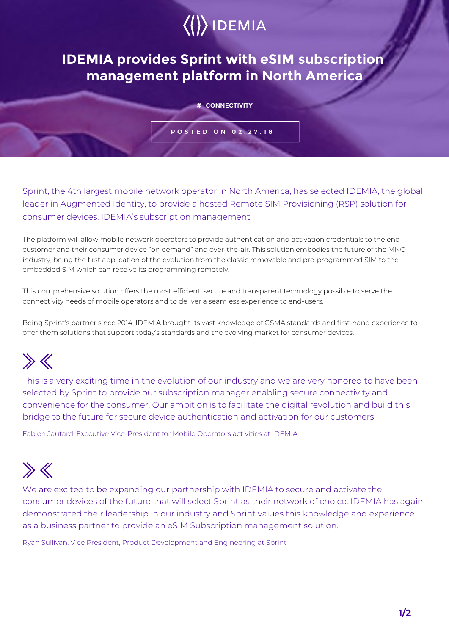# $\langle\langle\rangle\rangle$  IDEMIA

### **IDEMIA provides Sprint with eSIM subscription management platform in North America**

#### **# CONNECTIVITY**

#### **POSTED ON 02.27.18**

Sprint, the 4th largest mobile network operator in North America, has selected IDEMIA, the global leader in Augmented Identity, to provide a hosted Remote SIM Provisioning (RSP) solution for consumer devices, IDEMIA's subscription management.

The platform will allow mobile network operators to provide authentication and activation credentials to the endcustomer and their consumer device "on demand" and over-the-air. This solution embodies the future of the MNO industry, being the first application of the evolution from the classic removable and pre-programmed SIM to the embedded SIM which can receive its programming remotely.

This comprehensive solution offers the most efficient, secure and transparent technology possible to serve the connectivity needs of mobile operators and to deliver a seamless experience to end-users.

Being Sprint's partner since 2014, IDEMIA brought its vast knowledge of GSMA standards and first-hand experience to offer them solutions that support today's standards and the evolving market for consumer devices.

## $\gg$

This is a very exciting time in the evolution of our industry and we are very honored to have been selected by Sprint to provide our subscription manager enabling secure connectivity and convenience for the consumer. Our ambition is to facilitate the digital revolution and build this bridge to the future for secure device authentication and activation for our customers.

Fabien Jautard, Executive Vice-President for Mobile Operators activities at IDEMIA

### $\gg K$

We are excited to be expanding our partnership with IDEMIA to secure and activate the consumer devices of the future that will select Sprint as their network of choice. IDEMIA has again demonstrated their leadership in our industry and Sprint values this knowledge and experience as a business partner to provide an eSIM Subscription management solution.

Ryan Sullivan, Vice President, Product Development and Engineering at Sprint